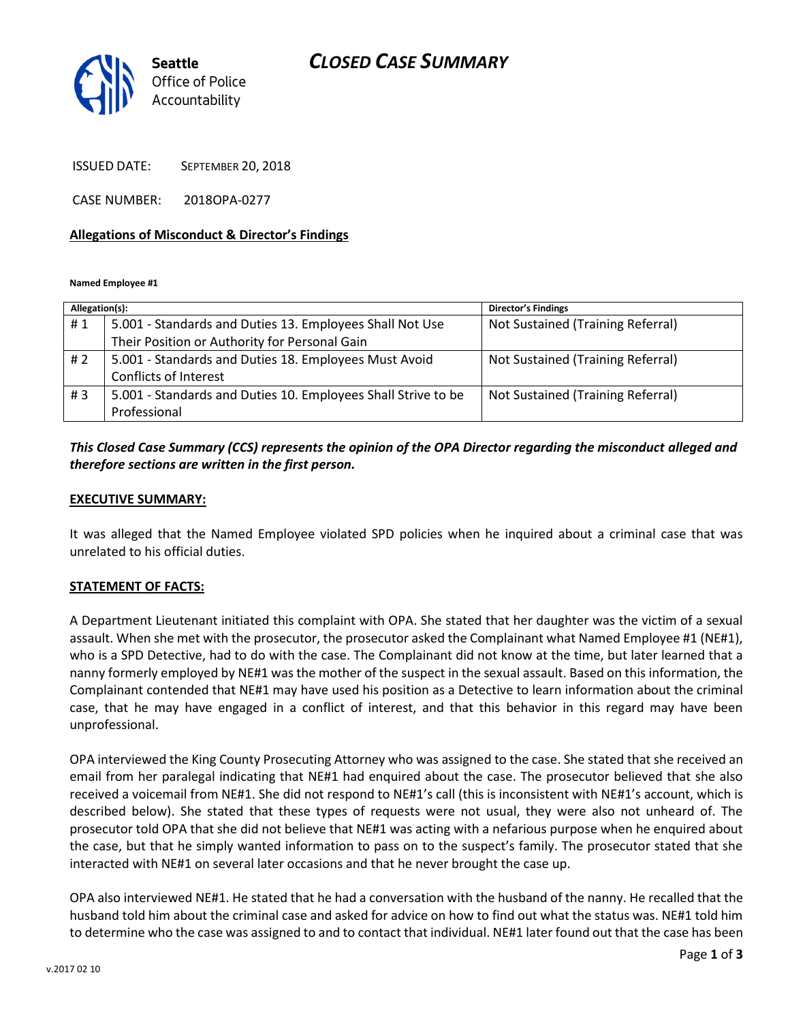## *CLOSED CASE SUMMARY*



ISSUED DATE: SEPTEMBER 20, 2018

CASE NUMBER: 2018OPA-0277

#### **Allegations of Misconduct & Director's Findings**

**Named Employee #1**

| Allegation(s): |                                                               | <b>Director's Findings</b>        |
|----------------|---------------------------------------------------------------|-----------------------------------|
| #1             | 5.001 - Standards and Duties 13. Employees Shall Not Use      | Not Sustained (Training Referral) |
|                | Their Position or Authority for Personal Gain                 |                                   |
| #2             | 5.001 - Standards and Duties 18. Employees Must Avoid         | Not Sustained (Training Referral) |
|                | Conflicts of Interest                                         |                                   |
| #3             | 5.001 - Standards and Duties 10. Employees Shall Strive to be | Not Sustained (Training Referral) |
|                | Professional                                                  |                                   |

## *This Closed Case Summary (CCS) represents the opinion of the OPA Director regarding the misconduct alleged and therefore sections are written in the first person.*

#### **EXECUTIVE SUMMARY:**

It was alleged that the Named Employee violated SPD policies when he inquired about a criminal case that was unrelated to his official duties.

### **STATEMENT OF FACTS:**

A Department Lieutenant initiated this complaint with OPA. She stated that her daughter was the victim of a sexual assault. When she met with the prosecutor, the prosecutor asked the Complainant what Named Employee #1 (NE#1), who is a SPD Detective, had to do with the case. The Complainant did not know at the time, but later learned that a nanny formerly employed by NE#1 was the mother of the suspect in the sexual assault. Based on this information, the Complainant contended that NE#1 may have used his position as a Detective to learn information about the criminal case, that he may have engaged in a conflict of interest, and that this behavior in this regard may have been unprofessional.

OPA interviewed the King County Prosecuting Attorney who was assigned to the case. She stated that she received an email from her paralegal indicating that NE#1 had enquired about the case. The prosecutor believed that she also received a voicemail from NE#1. She did not respond to NE#1's call (this is inconsistent with NE#1's account, which is described below). She stated that these types of requests were not usual, they were also not unheard of. The prosecutor told OPA that she did not believe that NE#1 was acting with a nefarious purpose when he enquired about the case, but that he simply wanted information to pass on to the suspect's family. The prosecutor stated that she interacted with NE#1 on several later occasions and that he never brought the case up.

OPA also interviewed NE#1. He stated that he had a conversation with the husband of the nanny. He recalled that the husband told him about the criminal case and asked for advice on how to find out what the status was. NE#1 told him to determine who the case was assigned to and to contact that individual. NE#1 later found out that the case has been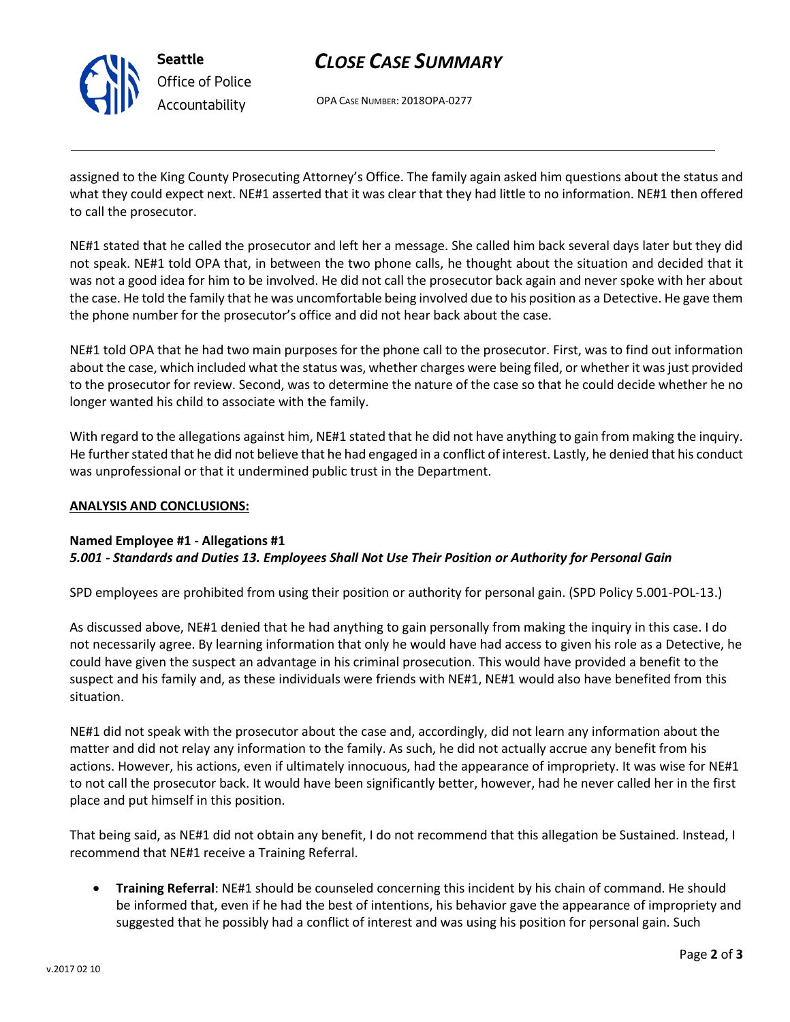

# *CLOSE CASE SUMMARY*

OPA CASE NUMBER: 2018OPA-0277

assigned to the King County Prosecuting Attorney's Office. The family again asked him questions about the status and what they could expect next. NE#1 asserted that it was clear that they had little to no information. NE#1 then offered to call the prosecutor.

NE#1 stated that he called the prosecutor and left her a message. She called him back several days later but they did not speak. NE#1 told OPA that, in between the two phone calls, he thought about the situation and decided that it was not a good idea for him to be involved. He did not call the prosecutor back again and never spoke with her about the case. He told the family that he was uncomfortable being involved due to his position as a Detective. He gave them the phone number for the prosecutor's office and did not hear back about the case.

NE#1 told OPA that he had two main purposes for the phone call to the prosecutor. First, was to find out information about the case, which included what the status was, whether charges were being filed, or whether it was just provided to the prosecutor for review. Second, was to determine the nature of the case so that he could decide whether he no longer wanted his child to associate with the family.

With regard to the allegations against him, NE#1 stated that he did not have anything to gain from making the inquiry. He further stated that he did not believe that he had engaged in a conflict of interest. Lastly, he denied that his conduct was unprofessional or that it undermined public trust in the Department.

## **ANALYSIS AND CONCLUSIONS:**

### **Named Employee #1 - Allegations #1** *5.001 - Standards and Duties 13. Employees Shall Not Use Their Position or Authority for Personal Gain*

SPD employees are prohibited from using their position or authority for personal gain. (SPD Policy 5.001-POL-13.)

As discussed above, NE#1 denied that he had anything to gain personally from making the inquiry in this case. I do not necessarily agree. By learning information that only he would have had access to given his role as a Detective, he could have given the suspect an advantage in his criminal prosecution. This would have provided a benefit to the suspect and his family and, as these individuals were friends with NE#1, NE#1 would also have benefited from this situation.

NE#1 did not speak with the prosecutor about the case and, accordingly, did not learn any information about the matter and did not relay any information to the family. As such, he did not actually accrue any benefit from his actions. However, his actions, even if ultimately innocuous, had the appearance of impropriety. It was wise for NE#1 to not call the prosecutor back. It would have been significantly better, however, had he never called her in the first place and put himself in this position.

That being said, as NE#1 did not obtain any benefit, I do not recommend that this allegation be Sustained. Instead, I recommend that NE#1 receive a Training Referral.

 **Training Referral**: NE#1 should be counseled concerning this incident by his chain of command. He should be informed that, even if he had the best of intentions, his behavior gave the appearance of impropriety and suggested that he possibly had a conflict of interest and was using his position for personal gain. Such